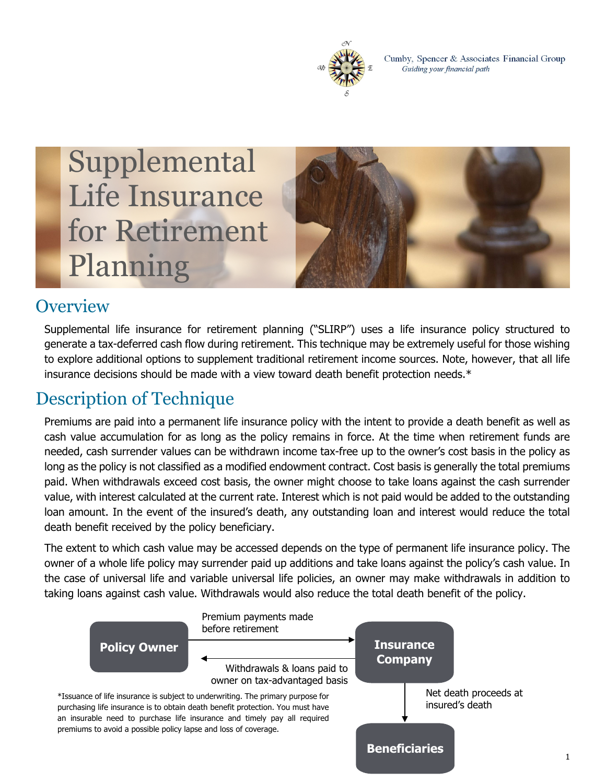

Cumby, Spencer & Associates Financial Group Guiding your financial path

# Supplemental Life Insurance for Retirement Planning



### **Overview**

Supplemental life insurance for retirement planning ("SLIRP") uses a life insurance policy structured to generate a tax-deferred cash flow during retirement. This technique may be extremely useful for those wishing to explore additional options to supplement traditional retirement income sources. Note, however, that all life insurance decisions should be made with a view toward death benefit protection needs.\*

# Description of Technique

Premiums are paid into a permanent life insurance policy with the intent to provide a death benefit as well as cash value accumulation for as long as the policy remains in force. At the time when retirement funds are needed, cash surrender values can be withdrawn income tax-free up to the owner's cost basis in the policy as long as the policy is not classified as a modified endowment contract. Cost basis is generally the total premiums paid. When withdrawals exceed cost basis, the owner might choose to take loans against the cash surrender value, with interest calculated at the current rate. Interest which is not paid would be added to the outstanding loan amount. In the event of the insured's death, any outstanding loan and interest would reduce the total death benefit received by the policy beneficiary.

The extent to which cash value may be accessed depends on the type of permanent life insurance policy. The owner of a whole life policy may surrender paid up additions and take loans against the policy's cash value. In the case of universal life and variable universal life policies, an owner may make withdrawals in addition to taking loans against cash value. Withdrawals would also reduce the total death benefit of the policy.

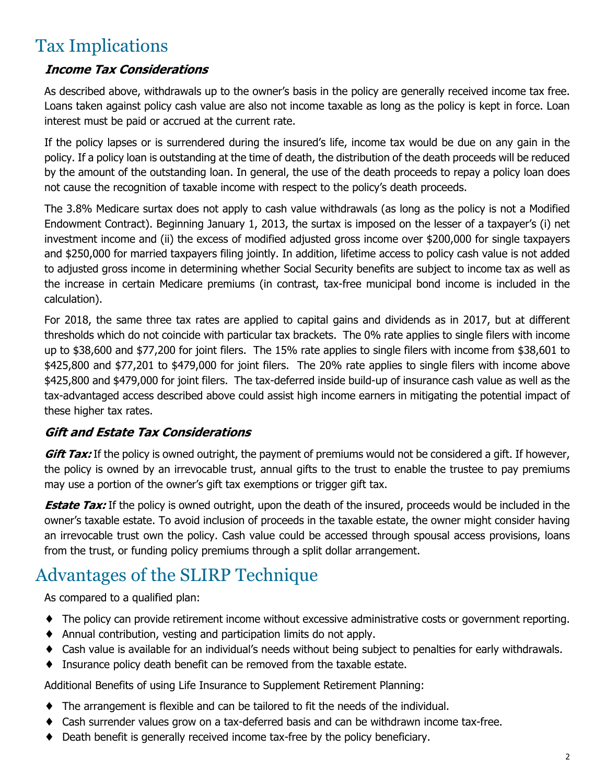## Tax Implications

#### *Income Tax Considerations*

As described above, withdrawals up to the owner's basis in the policy are generally received income tax free. Loans taken against policy cash value are also not income taxable as long as the policy is kept in force. Loan interest must be paid or accrued at the current rate.

If the policy lapses or is surrendered during the insured's life, income tax would be due on any gain in the policy. If a policy loan is outstanding at the time of death, the distribution of the death proceeds will be reduced by the amount of the outstanding loan. In general, the use of the death proceeds to repay a policy loan does not cause the recognition of taxable income with respect to the policy's death proceeds.

The 3.8% Medicare surtax does not apply to cash value withdrawals (as long as the policy is not a Modified Endowment Contract). Beginning January 1, 2013, the surtax is imposed on the lesser of a taxpayer's (i) net investment income and (ii) the excess of modified adjusted gross income over \$200,000 for single taxpayers and \$250,000 for married taxpayers filing jointly. In addition, lifetime access to policy cash value is not added to adjusted gross income in determining whether Social Security benefits are subject to income tax as well as the increase in certain Medicare premiums (in contrast, tax-free municipal bond income is included in the calculation).

For 2018, the same three tax rates are applied to capital gains and dividends as in 2017, but at different thresholds which do not coincide with particular tax brackets. The 0% rate applies to single filers with income up to \$38,600 and \$77,200 for joint filers. The 15% rate applies to single filers with income from \$38,601 to \$425,800 and \$77,201 to \$479,000 for joint filers. The 20% rate applies to single filers with income above \$425,800 and \$479,000 for joint filers. The tax-deferred inside build-up of insurance cash value as well as the tax-advantaged access described above could assist high income earners in mitigating the potential impact of these higher tax rates.

#### *Gift and Estate Tax Considerations*

*Gift Tax:* If the policy is owned outright, the payment of premiums would not be considered a gift. If however, the policy is owned by an irrevocable trust, annual gifts to the trust to enable the trustee to pay premiums may use a portion of the owner's gift tax exemptions or trigger gift tax.

**Estate Tax:** If the policy is owned outright, upon the death of the insured, proceeds would be included in the owner's taxable estate. To avoid inclusion of proceeds in the taxable estate, the owner might consider having an irrevocable trust own the policy. Cash value could be accessed through spousal access provisions, loans from the trust, or funding policy premiums through a split dollar arrangement.

# Advantages of the SLIRP Technique

As compared to a qualified plan:

- ♦ The policy can provide retirement income without excessive administrative costs or government reporting.
- ♦ Annual contribution, vesting and participation limits do not apply.
- ♦ Cash value is available for an individual's needs without being subject to penalties for early withdrawals.
- ♦ Insurance policy death benefit can be removed from the taxable estate.

Additional Benefits of using Life Insurance to Supplement Retirement Planning:

- ♦ The arrangement is flexible and can be tailored to fit the needs of the individual.
- Cash surrender values grow on a tax-deferred basis and can be withdrawn income tax-free.
- ♦ Death benefit is generally received income tax-free by the policy beneficiary.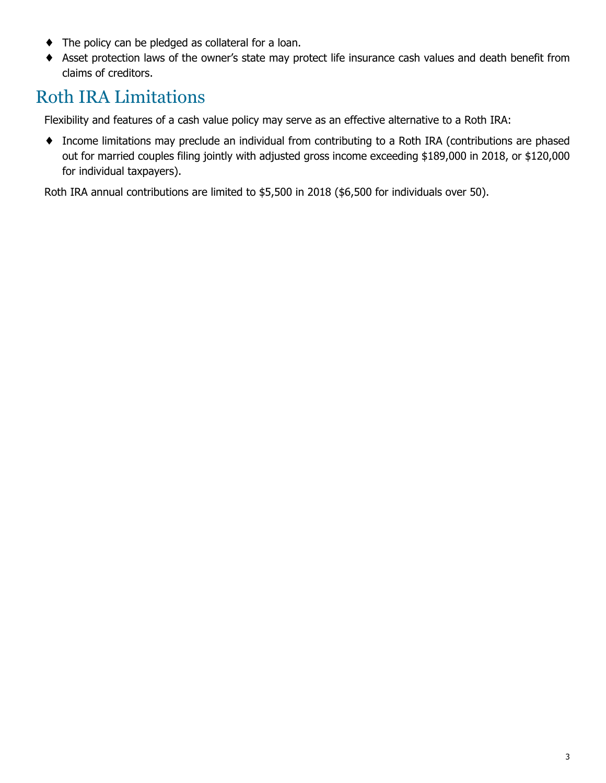- ♦ The policy can be pledged as collateral for a loan.
- ♦ Asset protection laws of the owner's state may protect life insurance cash values and death benefit from claims of creditors.

### Roth IRA Limitations

Flexibility and features of a cash value policy may serve as an effective alternative to a Roth IRA:

♦ Income limitations may preclude an individual from contributing to a Roth IRA (contributions are phased out for married couples filing jointly with adjusted gross income exceeding \$189,000 in 2018, or \$120,000 for individual taxpayers).

Roth IRA annual contributions are limited to \$5,500 in 2018 (\$6,500 for individuals over 50).